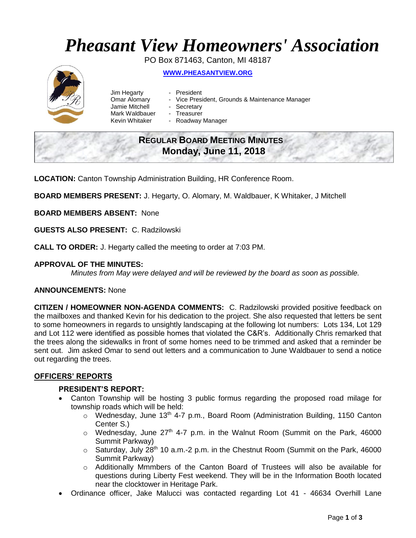# *Pheasant View Homeowners' Association*

PO Box 871463, Canton, MI 48187 **WWW.[PHEASANTVIEW](http://www.pheasantview.org/).ORG**

- Jim Hegarty President
	-
- Omar Alomary Vice President, Grounds & Maintenance Manager
- Jamie Mitchell Secretary
	-
- Mark Waldbauer Treasurer<br>Kevin Whitaker Roadway - Roadway Manager

## **REGULAR BOARD MEETING MINUTES Monday, June 11, 2018**

**LOCATION:** Canton Township Administration Building, HR Conference Room.

**BOARD MEMBERS PRESENT:** J. Hegarty, O. Alomary, M. Waldbauer, K Whitaker, J Mitchell

**BOARD MEMBERS ABSENT:** None

**GUESTS ALSO PRESENT:** C. Radzilowski

**CALL TO ORDER:** J. Hegarty called the meeting to order at 7:03 PM.

#### **APPROVAL OF THE MINUTES:**

*Minutes from May were delayed and will be reviewed by the board as soon as possible.* 

#### **ANNOUNCEMENTS:** None

**CITIZEN / HOMEOWNER NON-AGENDA COMMENTS:** C. Radzilowski provided positive feedback on the mailboxes and thanked Kevin for his dedication to the project. She also requested that letters be sent to some homeowners in regards to unsightly landscaping at the following lot numbers: Lots 134, Lot 129 and Lot 112 were identified as possible homes that violated the C&R's. Additionally Chris remarked that the trees along the sidewalks in front of some homes need to be trimmed and asked that a reminder be sent out. Jim asked Omar to send out letters and a communication to June Waldbauer to send a notice out regarding the trees.

#### **OFFICERS' REPORTS**

#### **PRESIDENT'S REPORT:**

- Canton Township will be hosting 3 public formus regarding the proposed road milage for township roads which will be held:
	- $\circ$  Wednesday, June 13<sup>th</sup> 4-7 p.m., Board Room (Administration Building, 1150 Canton Center S.)
	- $\circ$  Wednesday, June 27<sup>th</sup> 4-7 p.m. in the Walnut Room (Summit on the Park, 46000 Summit Parkway)
	- $\circ$  Saturday, July 28<sup>th</sup> 10 a.m.-2 p.m. in the Chestnut Room (Summit on the Park, 46000 Summit Parkway)
	- o Additionally Mmmbers of the Canton Board of Trustees will also be available for questions during Liberty Fest weekend. They will be in the Information Booth located near the clocktower in Heritage Park.
- Ordinance officer, Jake Malucci was contacted regarding Lot 41 46634 Overhill Lane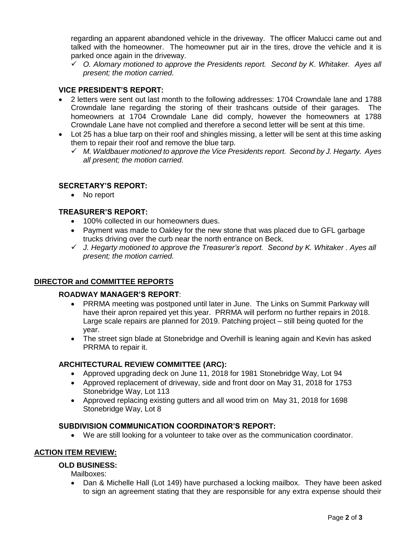regarding an apparent abandoned vehicle in the driveway. The officer Malucci came out and talked with the homeowner. The homeowner put air in the tires, drove the vehicle and it is parked once again in the driveway.

✓ *O. Alomary motioned to approve the Presidents report. Second by K. Whitaker. Ayes all present; the motion carried.* 

#### **VICE PRESIDENT'S REPORT:**

- 2 letters were sent out last month to the following addresses: 1704 Crowndale lane and 1788 Crowndale lane regarding the storing of their trashcans outside of their garages. The homeowners at 1704 Crowndale Lane did comply, however the homeowners at 1788 Crowndale Lane have not complied and therefore a second letter will be sent at this time.
- Lot 25 has a blue tarp on their roof and shingles missing, a letter will be sent at this time asking them to repair their roof and remove the blue tarp.
	- ✓ *M. Waldbauer motioned to approve the Vice Presidents report. Second by J. Hegarty. Ayes all present; the motion carried.*

#### **SECRETARY'S REPORT:**

• No report

#### **TREASURER'S REPORT:**

- 100% collected in our homeowners dues.
- Payment was made to Oakley for the new stone that was placed due to GFL garbage trucks driving over the curb near the north entrance on Beck.
- ✓ *J. Hegarty motioned to approve the Treasurer's report. Second by K. Whitaker . Ayes all present; the motion carried.*

### **DIRECTOR and COMMITTEE REPORTS**

#### **ROADWAY MANAGER'S REPORT**:

- PRRMA meeting was postponed until later in June. The Links on Summit Parkway will have their apron repaired yet this year. PRRMA will perform no further repairs in 2018. Large scale repairs are planned for 2019. Patching project – still being quoted for the year.
- The street sign blade at Stonebridge and Overhill is leaning again and Kevin has asked PRRMA to repair it.

#### **ARCHITECTURAL REVIEW COMMITTEE (ARC):**

- Approved upgrading deck on June 11, 2018 for 1981 Stonebridge Way, Lot 94
- Approved replacement of driveway, side and front door on May 31, 2018 for 1753 Stonebridge Way, Lot 113
- Approved replacing existing gutters and all wood trim on May 31, 2018 for 1698 Stonebridge Way, Lot 8

#### **SUBDIVISION COMMUNICATION COORDINATOR'S REPORT:**

• We are still looking for a volunteer to take over as the communication coordinator.

#### **ACTION ITEM REVIEW:**

#### **OLD BUSINESS:**

Mailboxes:

• Dan & Michelle Hall (Lot 149) have purchased a locking mailbox. They have been asked to sign an agreement stating that they are responsible for any extra expense should their